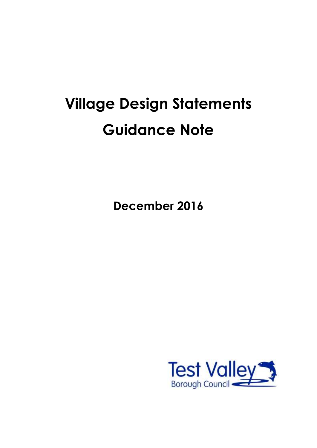# **Village Design Statements Guidance Note**

**December 2016**

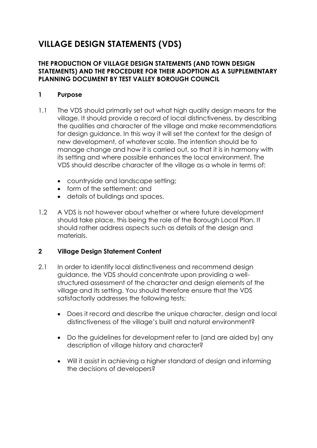## **VILLAGE DESIGN STATEMENTS (VDS)**

#### **THE PRODUCTION OF VILLAGE DESIGN STATEMENTS (AND TOWN DESIGN STATEMENTS) AND THE PROCEDURE FOR THEIR ADOPTION AS A SUPPLEMENTARY PLANNING DOCUMENT BY TEST VALLEY BOROUGH COUNCIL**

#### **1 Purpose**

- 1.1 The VDS should primarily set out what high quality design means for the village. It should provide a record of local distinctiveness, by describing the qualities and character of the village and make recommendations for design guidance. In this way it will set the context for the design of new development, of whatever scale. The intention should be to manage change and how it is carried out, so that it is in harmony with its setting and where possible enhances the local environment. The VDS should describe character of the village as a whole in terms of:
	- countryside and landscape setting;
	- form of the settlement; and
	- details of buildings and spaces.
- 1.2 A VDS is not however about whether or where future development should take place, this being the role of the Borough Local Plan. It should rather address aspects such as details of the design and materials.

#### **2 Village Design Statement Content**

- 2.1 In order to identify local distinctiveness and recommend design guidance, the VDS should concentrate upon providing a wellstructured assessment of the character and design elements of the village and its setting. You should therefore ensure that the VDS satisfactorily addresses the following tests;
	- Does it record and describe the unique character, design and local distinctiveness of the village's built and natural environment?
	- Do the guidelines for development refer to (and are aided by) any description of village history and character?
	- Will it assist in achieving a higher standard of design and informing the decisions of developers?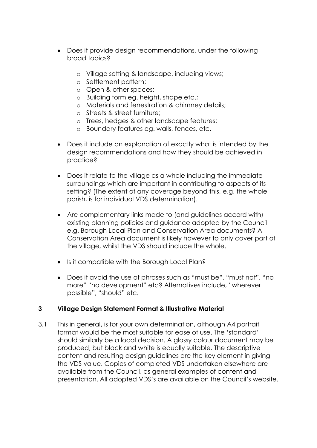- Does it provide design recommendations, under the following broad topics?
	- o Village setting & landscape, including views;
	- o Settlement pattern;
	- o Open & other spaces;
	- o Building form eg. height, shape etc.;
	- o Materials and fenestration & chimney details;
	- o Streets & street furniture;
	- o Trees, hedges & other landscape features;
	- o Boundary features eg. walls, fences, etc.
- Does it include an explanation of exactly what is intended by the design recommendations and how they should be achieved in practice?
- Does it relate to the village as a whole including the immediate surroundings which are important in contributing to aspects of its setting? (The extent of any coverage beyond this, e.g. the whole parish, is for individual VDS determination).
- Are complementary links made to (and guidelines accord with) existing planning policies and guidance adopted by the Council e.g. Borough Local Plan and Conservation Area documents? A Conservation Area document is likely however to only cover part of the village, whilst the VDS should include the whole.
- Is it compatible with the Borough Local Plan?
- Does it avoid the use of phrases such as "must be", "must not", "no more" "no development" etc? Alternatives include, "wherever possible", "should" etc.

#### **3 Village Design Statement Format & Illustrative Material**

3.1 This in general, is for your own determination, although A4 portrait format would be the most suitable for ease of use. The 'standard' should similarly be a local decision. A glossy colour document may be produced, but black and white is equally suitable. The descriptive content and resulting design guidelines are the key element in giving the VDS value. Copies of completed VDS undertaken elsewhere are available from the Council, as general examples of content and presentation. All adopted VDS's are available on the Council's website.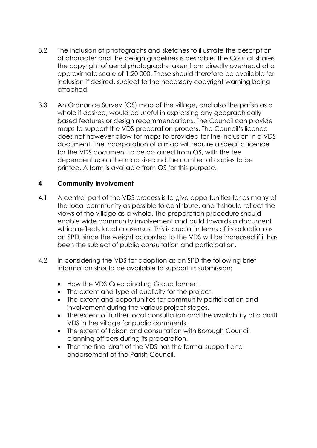- 3.2 The inclusion of photographs and sketches to illustrate the description of character and the design guidelines is desirable. The Council shares the copyright of aerial photographs taken from directly overhead at a approximate scale of 1:20,000. These should therefore be available for inclusion if desired, subject to the necessary copyright warning being attached.
- 3.3 An Ordnance Survey (OS) map of the village, and also the parish as a whole if desired, would be useful in expressing any geographically based features or design recommendations. The Council can provide maps to support the VDS preparation process. The Council's licence does not however allow for maps to provided for the inclusion in a VDS document. The incorporation of a map will require a specific licence for the VDS document to be obtained from OS, with the fee dependent upon the map size and the number of copies to be printed. A form is available from OS for this purpose.

#### **4 Community Involvement**

- 4.1 A central part of the VDS process is to give opportunities for as many of the local community as possible to contribute, and it should reflect the views of the village as a whole. The preparation procedure should enable wide community involvement and build towards a document which reflects local consensus. This is crucial in terms of its adoption as an SPD, since the weight accorded to the VDS will be increased if it has been the subject of public consultation and participation.
- 4.2 In considering the VDS for adoption as an SPD the following brief information should be available to support its submission:
	- How the VDS Co-ordinating Group formed.
	- The extent and type of publicity for the project.
	- The extent and opportunities for community participation and involvement during the various project stages.
	- The extent of further local consultation and the availability of a draft VDS in the village for public comments.
	- The extent of liaison and consultation with Borough Council planning officers during its preparation.
	- That the final draft of the VDS has the formal support and endorsement of the Parish Council.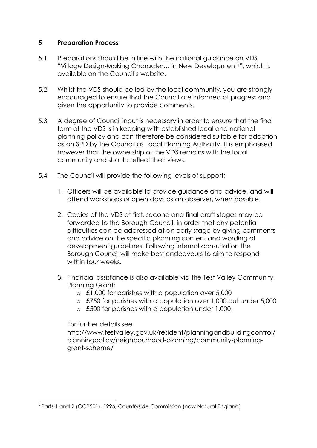#### **5 Preparation Process**

- 5.1 Preparations should be in line with the national guidance on VDS "Village Design-Making Character... in New Development<sup>1</sup>", which is available on the Council's website.
- 5.2 Whilst the VDS should be led by the local community, you are strongly encouraged to ensure that the Council are informed of progress and given the opportunity to provide comments.
- 5.3 A degree of Council input is necessary in order to ensure that the final form of the VDS is in keeping with established local and national planning policy and can therefore be considered suitable for adoption as an SPD by the Council as Local Planning Authority. It is emphasised however that the ownership of the VDS remains with the local community and should reflect their views*.*
- 5.4 The Council will provide the following levels of support;
	- 1. Officers will be available to provide guidance and advice, and will attend workshops or open days as an observer, when possible.
	- 2. Copies of the VDS at first, second and final draft stages may be forwarded to the Borough Council, in order that any potential difficulties can be addressed at an early stage by giving comments and advice on the specific planning content and wording of development guidelines. Following internal consultation the Borough Council will make best endeavours to aim to respond within four weeks.
	- 3. Financial assistance is also available via the Test Valley Community Planning Grant:
		- o £1,000 for parishes with a population over 5,000
		- o £750 for parishes with a population over 1,000 but under 5,000
		- o £500 for parishes with a population under 1,000.

#### For further details see

http://www.testvalley.gov.uk/resident/planningandbuildingcontrol/ planningpolicy/neighbourhood-planning/community-planninggrant-scheme/

 $\overline{a}$ <sup>1</sup> Parts 1 and 2 (CCP501), 1996, Countryside Commission (now Natural England)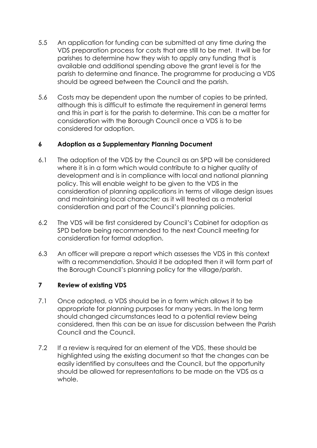- 5.5 An application for funding can be submitted at any time during the VDS preparation process for costs that are still to be met. It will be for parishes to determine how they wish to apply any funding that is available and additional spending above the grant level is for the parish to determine and finance. The programme for producing a VDS should be agreed between the Council and the parish.
- 5.6 Costs may be dependent upon the number of copies to be printed, although this is difficult to estimate the requirement in general terms and this in part is for the parish to determine. This can be a matter for consideration with the Borough Council once a VDS is to be considered for adoption.

#### **6 Adoption as a Supplementary Planning Document**

- 6.1 The adoption of the VDS by the Council as an SPD will be considered where it is in a form which would contribute to a higher quality of development and is in compliance with local and national planning policy. This will enable weight to be given to the VDS in the consideration of planning applications in terms of village design issues and maintaining local character*;* as it will treated as a material consideration and part of the Council's planning policies.
- 6.2 The VDS will be first considered by Council's Cabinet for adoption as SPD before being recommended to the next Council meeting for consideration for formal adoption.
- 6.3 An officer will prepare a report which assesses the VDS in this context with a recommendation. Should it be adopted then it will form part of the Borough Council's planning policy for the village/parish.

#### **7 Review of existing VDS**

- 7.1 Once adopted, a VDS should be in a form which allows it to be appropriate for planning purposes for many years. In the long term should changed circumstances lead to a potential review being considered, then this can be an issue for discussion between the Parish Council and the Council.
- 7.2 If a review is required for an element of the VDS, these should be highlighted using the existing document so that the changes can be easily identified by consultees and the Council, but the opportunity should be allowed for representations to be made on the VDS as a whole.